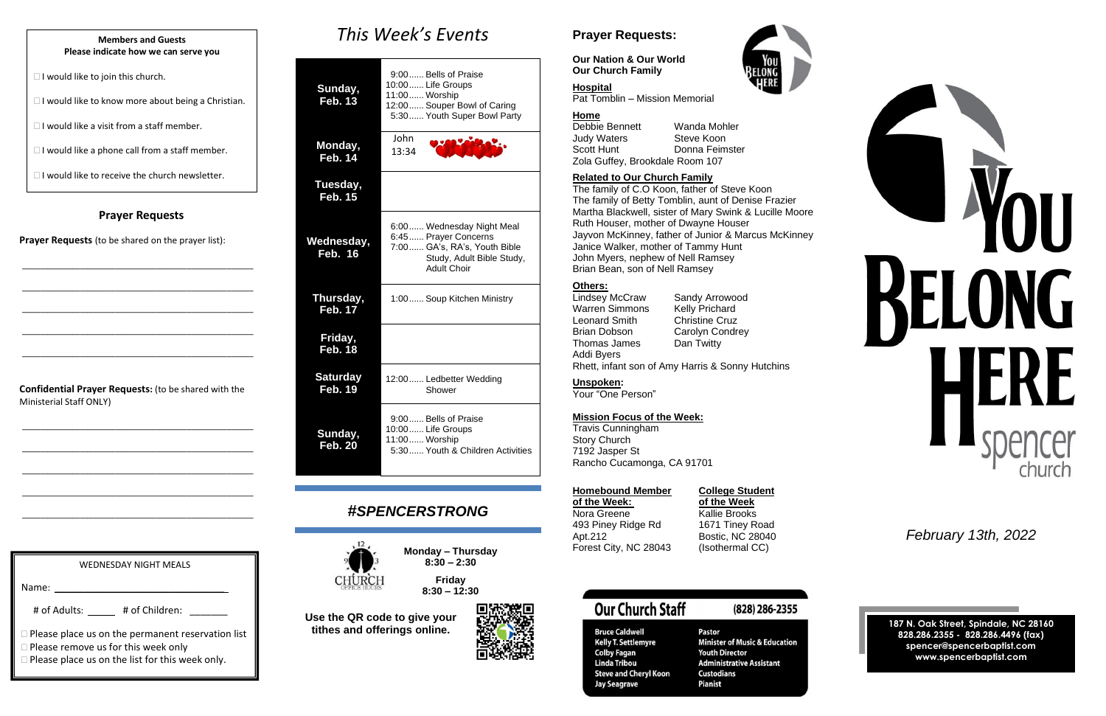### **Prayer Requests**

**Prayer Requests** (to be shared on the prayer list):

\_\_\_\_\_\_\_\_\_\_\_\_\_\_\_\_\_\_\_\_\_\_\_\_\_\_\_\_\_\_\_\_\_\_\_\_\_\_\_\_\_\_\_\_\_\_\_\_\_\_\_\_

\_\_\_\_\_\_\_\_\_\_\_\_\_\_\_\_\_\_\_\_\_\_\_\_\_\_\_\_\_\_\_\_\_\_\_\_\_\_\_\_\_\_\_\_\_\_\_\_\_\_\_\_

\_\_\_\_\_\_\_\_\_\_\_\_\_\_\_\_\_\_\_\_\_\_\_\_\_\_\_\_\_\_\_\_\_\_\_\_\_\_\_\_\_\_\_\_\_\_\_\_\_\_\_\_

\_\_\_\_\_\_\_\_\_\_\_\_\_\_\_\_\_\_\_\_\_\_\_\_\_\_\_\_\_\_\_\_\_\_\_\_\_\_\_\_\_\_\_\_\_\_\_\_\_\_\_\_

\_\_\_\_\_\_\_\_\_\_\_\_\_\_\_\_\_\_\_\_\_\_\_\_\_\_\_\_\_\_\_\_\_\_\_\_\_\_\_\_\_\_\_\_\_\_\_\_\_\_\_\_

**Confidential Prayer Requests:** (to be shared with the Ministerial Staff ONLY)

\_\_\_\_\_\_\_\_\_\_\_\_\_\_\_\_\_\_\_\_\_\_\_\_\_\_\_\_\_\_\_\_\_\_\_\_\_\_\_\_\_\_\_\_\_\_\_\_\_\_\_\_

\_\_\_\_\_\_\_\_\_\_\_\_\_\_\_\_\_\_\_\_\_\_\_\_\_\_\_\_\_\_\_\_\_\_\_\_\_\_\_\_\_\_\_\_\_\_\_\_\_\_\_\_

\_\_\_\_\_\_\_\_\_\_\_\_\_\_\_\_\_\_\_\_\_\_\_\_\_\_\_\_\_\_\_\_\_\_\_\_\_\_\_\_\_\_\_\_\_\_\_\_\_\_\_\_

\_\_\_\_\_\_\_\_\_\_\_\_\_\_\_\_\_\_\_\_\_\_\_\_\_\_\_\_\_\_\_\_\_\_\_\_\_\_\_\_\_\_\_\_\_\_\_\_\_\_\_\_

\_\_\_\_\_\_\_\_\_\_\_\_\_\_\_\_\_\_\_\_\_\_\_\_\_\_\_\_\_\_\_\_\_\_\_\_\_\_\_\_\_\_\_\_\_\_\_\_\_\_\_\_

*This Week's Events*

| Sunday,<br><b>Feb. 13</b>           | 9:00 Bells of Praise<br>10:00 Life Groups<br>11:00 Worship<br>12:00 Souper Bowl of Caring<br>5:30 Youth Super Bowl Party             |
|-------------------------------------|--------------------------------------------------------------------------------------------------------------------------------------|
| Monday,<br><b>Feb. 14</b>           | John<br>13:34                                                                                                                        |
| Tuesday,<br><b>Feb. 15</b>          |                                                                                                                                      |
| <u>Wednesday,</u><br><b>Feb. 16</b> | 6:00 Wednesday Night Meal<br>6:45 Prayer Concerns<br>7:00 GA's, RA's, Youth Bible<br>Study, Adult Bible Study,<br><b>Adult Choir</b> |
| Thursday,<br><b>Feb. 17</b>         | 1:00 Soup Kitchen Ministry                                                                                                           |
| Friday,<br><b>Feb. 18</b>           |                                                                                                                                      |
| <b>Saturday</b><br><b>Feb. 19</b>   | 12:00 Ledbetter Wedding<br>Shower                                                                                                    |
| Sunday,<br><b>Feb. 20</b>           | 9:00 Bells of Praise<br>10:00 Life Groups<br>11:00 Worship<br>5:30 Youth & Children Activities                                       |

# *#SPENCERSTRONG*



**Monday – Thursday 8:30 – 2:30**







**Use the QR code to give your tithes and offerings online.**



# **Prayer Requests:**

**Our Nation & Our World Our Church Family**

#### **Hospital** Pat Tomblin – Mission Memorial

# **Home**

Debbie Bennett Wanda Mohler Judy Waters Steve Koon Scott Hunt Donna Feimster Zola Guffey, Brookdale Room 107

### **Related to Our Church Family**

The family of C.O Koon, father of Steve Koon The family of Betty Tomblin, aunt of Denise Frazier Martha Blackwell, sister of Mary Swink & Lucille Moore Ruth Houser, mother of Dwayne Houser Jayvon McKinney, father of Junior & Marcus McKinney Janice Walker, mother of Tammy Hunt John Myers, nephew of Nell Ramsey Brian Bean, son of Nell Ramsey

### **Others:**

Lindsey McCraw Sandy Arrowood Warren Simmons Kelly Prichard Leonard Smith Christine Cruz Brian Dobson Carolyn Condrey<br>Thomas James Dan Twitty Thomas James Addi Byers

Rhett, infant son of Amy Harris & Sonny Hutchins

### **Unspoken:**

Your "One Person"

### **Mission Focus of the Week:**

Travis Cunningham Story Church 7192 Jasper St Rancho Cucamonga, CA 91701

| <b>Homebound Member</b> |  |  |
|-------------------------|--|--|
| of the Week:            |  |  |
| Nora Greene             |  |  |
| 493 Piney Ridge Rd      |  |  |
| Apt.212                 |  |  |
| Forest City, NC 28043   |  |  |

# **College Student**

**of the Week** Kallie Brooks 1671 Tiney Road **Bostic, NC 28040** (Isothermal CC)

# **Our Church Staff**

**Bruce Caldwell** 

**Colby Fagan** 

Linda Tribou

**Jay Seagrave** 

**Kelly T. Settlemyre** 

**Steve and Cheryl Koon** 

(828) 286-2355

**Pastor Minister of Music & Education Youth Director Administrative Assistant Custodians Pianist** 

*February 13th, 2022*

**187 N. Oak Street, Spindale, NC 28160 828.286.2355 - 828.286.4496 (fax) spencer@spencerbaptist.com www.spencerbaptist.com**

#### **Members and Guests Please indicate how we can serve you**

 $\Box$  I would like to join this church.

 $\Box$  I would like to know more about being a Christian.

 $\Box$  I would like a visit from a staff member.

 $\Box$  I would like a phone call from a staff member.

 $\Box$  I would like to receive the church newsletter.

WEDNESDAY NIGHT MEALS

# of Adults: \_\_\_\_\_ # of Children: \_\_\_\_\_\_

**Please place us on the permanent reservation list** 

□ Please remove us for this week only

Name:

**Please place us on the list for this week only.**